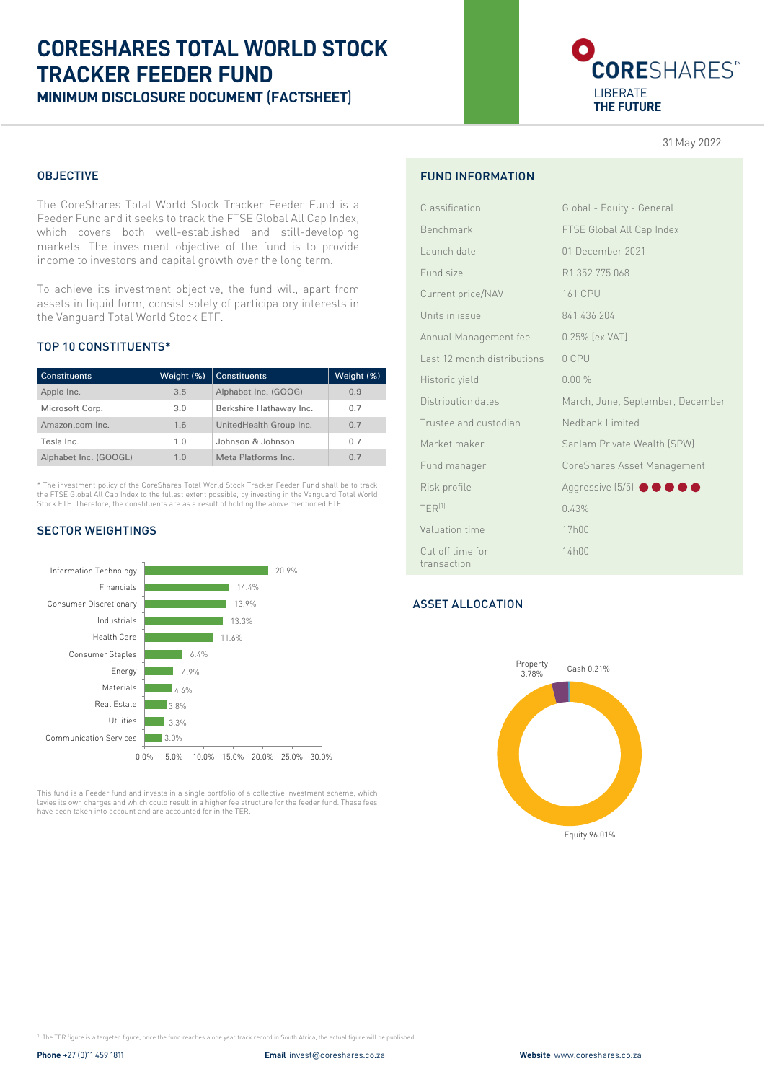# **CORESHARES TOTAL WORLD STOCK TRACKER FEEDER FUND MINIMUM DISCLOSURE DOCUMENT** (**FACTSHEET**)



31 May 2022

## OBJECTIVE

The CoreShares Total World Stock Tracker Feeder Fund is a Feeder Fund and it seeks to track the FTSE Global All Cap Index, which covers both well-established and still-developing markets. The investment objective of the fund is to provide income to investors and capital growth over the long term.

To achieve its investment objective, the fund will, apart from assets in liquid form, consist solely of participatory interests in the Vanguard Total World Stock ETF.

## TOP 10 CONSTITUENTS\*

| <b>Constituents</b>   | Weight (%)     | <b>Constituents</b>     | Weight (%)     |
|-----------------------|----------------|-------------------------|----------------|
| Apple Inc.            | 3.5            | Alphabet Inc. (GOOG)    | 0.9            |
| Microsoft Corp.       | 3.0            | Berkshire Hathaway Inc. | 0.7            |
| Amazon.com Inc.       | 1.6            | UnitedHealth Group Inc. | 0.7            |
| Tesla Inc.            | 1 <sub>0</sub> | Johnson & Johnson       | 07             |
| Alphabet Inc. (GOOGL) | 1.0            | Meta Platforms Inc.     | 0 <sub>7</sub> |

\* The investment policy of the CoreShares Total World Stock Tracker Feeder Fund shall be to track the FTSE Global All Cap Index to the fullest extent possible, by investing in the Vanguard Total World Stock ETF. Therefore, the constituents are as a result of holding the above mentioned ETF.

## SECTOR WEIGHTINGS



This fund is a Feeder fund and invests in a single portfolio of a collective investment scheme, which levies its own charges and which could result in a higher fee structure for the feeder fund. These fees have been taken into account and are accounted for in the TER.

## FUND INFORMATION

| Classification                  | Global - Equity - General        |
|---------------------------------|----------------------------------|
| Benchmark                       | FTSE Global All Cap Index        |
| Launch date                     | 01 December 2021                 |
| Fund size                       | R1 352 775 068                   |
| Current price/NAV               | <b>161 CPU</b>                   |
| Units in issue                  | 841 436 204                      |
| Annual Management fee           | 0.25% [ex VAT]                   |
| Last 12 month distributions     | 0 CPU                            |
| Historic yield                  | 0.00%                            |
| Distribution dates              | March, June, September, December |
| Trustee and custodian           | Nedbank Limited                  |
| Market maker                    | Sanlam Private Wealth (SPW)      |
| Fund manager                    | CoreShares Asset Management      |
| Risk profile                    | Aggressive (5/5) <b>@ @ @ @</b>  |
| $TFR^{(1)}$                     | 0.43%                            |
| Valuation time                  | 17h00                            |
| Cut off time for<br>transaction | 14h00                            |

## ASSET ALLOCATION



<sup>1)</sup> The TER figure is a targeted figure, once the fund reaches a one year track record in South Africa, the actual figure will be published.